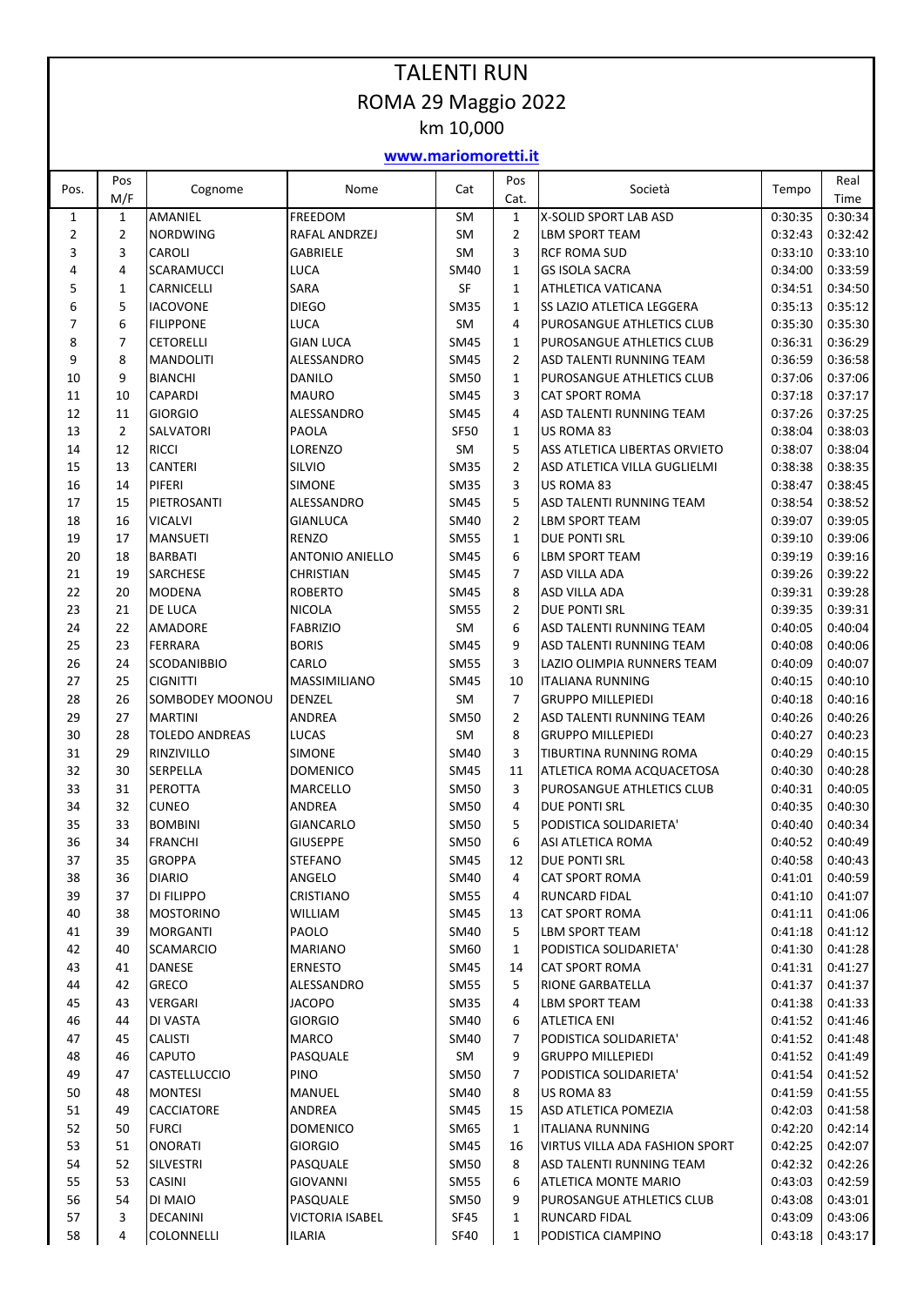## TALENTI RUN ROMA 29 Maggio 2022 km 10,000

## **www.mariomoretti.it**

| Pos.           | Pos<br>M/F     | Cognome               | Nome                   | Cat         | Pos<br>Cat.    | Società                        | Tempo   | Real<br>Time |
|----------------|----------------|-----------------------|------------------------|-------------|----------------|--------------------------------|---------|--------------|
| $\mathbf{1}$   | $\mathbf{1}$   | <b>AMANIEL</b>        | <b>FREEDOM</b>         | SM          | $\mathbf{1}$   | X-SOLID SPORT LAB ASD          | 0:30:35 | 0:30:34      |
| $\overline{2}$ | $\overline{2}$ | <b>NORDWING</b>       | RAFAL ANDRZEJ          | SM          | $\overline{2}$ | LBM SPORT TEAM                 | 0:32:43 | 0:32:42      |
| 3              | 3              | CAROLI                | <b>GABRIELE</b>        | SM          | 3              | <b>RCF ROMA SUD</b>            | 0:33:10 | 0:33:10      |
| 4              | 4              | <b>SCARAMUCCI</b>     | <b>LUCA</b>            | SM40        | $\mathbf{1}$   | <b>GS ISOLA SACRA</b>          | 0:34:00 | 0:33:59      |
| 5              | 1              | CARNICELLI            | SARA                   | SF          | $\mathbf{1}$   | ATHLETICA VATICANA             | 0:34:51 | 0:34:50      |
| 6              | 5              | <b>IACOVONE</b>       | <b>DIEGO</b>           | <b>SM35</b> | $\mathbf{1}$   | SS LAZIO ATLETICA LEGGERA      | 0:35:13 | 0:35:12      |
| $\overline{7}$ | 6              | <b>FILIPPONE</b>      | <b>LUCA</b>            | SM          | 4              | PUROSANGUE ATHLETICS CLUB      | 0:35:30 | 0:35:30      |
| 8              | $\overline{7}$ | <b>CETORELLI</b>      | <b>GIAN LUCA</b>       | <b>SM45</b> | $\mathbf{1}$   | PUROSANGUE ATHLETICS CLUB      | 0:36:31 | 0:36:29      |
| 9              | 8              | <b>MANDOLITI</b>      | ALESSANDRO             | <b>SM45</b> | $\overline{2}$ | ASD TALENTI RUNNING TEAM       | 0:36:59 | 0:36:58      |
| 10             | 9              | <b>BIANCHI</b>        | DANILO                 | <b>SM50</b> | $\mathbf{1}$   | PUROSANGUE ATHLETICS CLUB      | 0:37:06 | 0:37:06      |
| 11             | 10             | <b>CAPARDI</b>        | <b>MAURO</b>           | <b>SM45</b> | 3              | <b>CAT SPORT ROMA</b>          | 0:37:18 | 0:37:17      |
| 12             | 11             | <b>GIORGIO</b>        | ALESSANDRO             | <b>SM45</b> | 4              | ASD TALENTI RUNNING TEAM       | 0:37:26 | 0:37:25      |
| 13             | $\overline{2}$ | SALVATORI             | PAOLA                  | <b>SF50</b> | $\mathbf{1}$   | US ROMA 83                     | 0:38:04 | 0:38:03      |
| 14             | 12             | <b>RICCI</b>          | LORENZO                | SM          | 5              | ASS ATLETICA LIBERTAS ORVIETO  | 0:38:07 | 0:38:04      |
| 15             | 13             | <b>CANTERI</b>        | SILVIO                 | <b>SM35</b> | $\overline{2}$ | ASD ATLETICA VILLA GUGLIELMI   | 0:38:38 | 0:38:35      |
| 16             | 14             | PIFERI                | <b>SIMONE</b>          | <b>SM35</b> | 3              | US ROMA 83                     | 0:38:47 | 0:38:45      |
| 17             | 15             | PIETROSANTI           | ALESSANDRO             | <b>SM45</b> | 5              | ASD TALENTI RUNNING TEAM       | 0:38:54 | 0:38:52      |
| 18             | 16             | <b>VICALVI</b>        | <b>GIANLUCA</b>        | <b>SM40</b> | $\overline{2}$ | <b>LBM SPORT TEAM</b>          | 0:39:07 | 0:39:05      |
| 19             | 17             | <b>MANSUETI</b>       | <b>RENZO</b>           | <b>SM55</b> | $\mathbf{1}$   | DUE PONTI SRL                  | 0:39:10 | 0:39:06      |
| 20             | 18             | <b>BARBATI</b>        | <b>ANTONIO ANIELLO</b> | <b>SM45</b> | 6              | LBM SPORT TEAM                 | 0:39:19 | 0:39:16      |
| 21             | 19             | SARCHESE              | <b>CHRISTIAN</b>       | <b>SM45</b> | 7              | ASD VILLA ADA                  | 0:39:26 | 0:39:22      |
| 22             | 20             | <b>MODENA</b>         | <b>ROBERTO</b>         | <b>SM45</b> | 8              | <b>ASD VILLA ADA</b>           | 0:39:31 | 0:39:28      |
| 23             | 21             | DE LUCA               | <b>NICOLA</b>          | <b>SM55</b> | $\overline{2}$ | DUE PONTI SRL                  | 0:39:35 | 0:39:31      |
| 24             | 22             | <b>AMADORE</b>        | <b>FABRIZIO</b>        | SM          | 6              | ASD TALENTI RUNNING TEAM       | 0:40:05 | 0:40:04      |
| 25             | 23             | <b>FERRARA</b>        | <b>BORIS</b>           | <b>SM45</b> | 9              | ASD TALENTI RUNNING TEAM       | 0:40:08 | 0:40:06      |
| 26             | 24             | <b>SCODANIBBIO</b>    | CARLO                  | <b>SM55</b> | 3              | LAZIO OLIMPIA RUNNERS TEAM     | 0:40:09 | 0:40:07      |
| 27             | 25             | <b>CIGNITTI</b>       | MASSIMILIANO           | <b>SM45</b> | 10             | <b>ITALIANA RUNNING</b>        | 0:40:15 | 0:40:10      |
| 28             | 26             | SOMBODEY MOONOU       | DENZEL                 | SM          | $\overline{7}$ | <b>GRUPPO MILLEPIEDI</b>       | 0:40:18 | 0:40:16      |
| 29             | 27             | <b>MARTINI</b>        | ANDREA                 | <b>SM50</b> | $\overline{2}$ | ASD TALENTI RUNNING TEAM       | 0:40:26 | 0:40:26      |
| 30             | 28             | <b>TOLEDO ANDREAS</b> | LUCAS                  | SM          | 8              | <b>GRUPPO MILLEPIEDI</b>       | 0:40:27 | 0:40:23      |
| 31             | 29             | RINZIVILLO            | <b>SIMONE</b>          | SM40        | 3              | TIBURTINA RUNNING ROMA         | 0:40:29 | 0:40:15      |
| 32             | 30             | <b>SERPELLA</b>       | <b>DOMENICO</b>        | <b>SM45</b> | 11             | ATLETICA ROMA ACQUACETOSA      | 0:40:30 | 0:40:28      |
| 33             | 31             | PEROTTA               | MARCELLO               | <b>SM50</b> | 3              | PUROSANGUE ATHLETICS CLUB      | 0:40:31 | 0:40:05      |
| 34             | 32             | <b>CUNEO</b>          | ANDREA                 | <b>SM50</b> | 4              | DUE PONTI SRL                  | 0:40:35 | 0:40:30      |
| 35             | 33             | <b>BOMBINI</b>        | <b>GIANCARLO</b>       | <b>SM50</b> | 5              | PODISTICA SOLIDARIETA'         | 0:40:40 | 0:40:34      |
| 36             | 34             | <b>FRANCHI</b>        | <b>GIUSEPPE</b>        | <b>SM50</b> | 6              | ASI ATLETICA ROMA              | 0:40:52 | 0:40:49      |
| 37             | 35             | <b>GROPPA</b>         | STEFANO                | <b>SM45</b> | 12             | <b>DUE PONTI SRL</b>           | 0:40:58 | 0:40:43      |
| 38             | 36             | <b>DIARIO</b>         | ANGELO                 | SM40        | 4              | <b>CAT SPORT ROMA</b>          | 0:41:01 | 0:40:59      |
| 39             | 37             | DI FILIPPO            | CRISTIANO              | <b>SM55</b> | 4              | RUNCARD FIDAL                  | 0:41:10 | 0:41:07      |
| 40             | 38             | <b>MOSTORINO</b>      | WILLIAM                | SM45        | 13             | CAT SPORT ROMA                 | 0:41:11 | 0:41:06      |
| 41             | 39             | <b>MORGANTI</b>       | PAOLO                  | <b>SM40</b> | 5              | LBM SPORT TEAM                 | 0:41:18 | 0:41:12      |
| 42             | 40             | <b>SCAMARCIO</b>      | MARIANO                | SM60        | 1              | PODISTICA SOLIDARIETA'         | 0:41:30 | 0:41:28      |
| 43             | 41             | <b>DANESE</b>         | <b>ERNESTO</b>         | <b>SM45</b> | 14             | <b>CAT SPORT ROMA</b>          | 0:41:31 | 0:41:27      |
| 44             | 42             | <b>GRECO</b>          | ALESSANDRO             | <b>SM55</b> | 5              | RIONE GARBATELLA               | 0:41:37 | 0:41:37      |
| 45             | 43             | VERGARI               | <b>JACOPO</b>          | <b>SM35</b> | 4              | LBM SPORT TEAM                 | 0:41:38 | 0:41:33      |
| 46             | 44             | DI VASTA              | <b>GIORGIO</b>         | SM40        | 6              | <b>ATLETICA ENI</b>            | 0:41:52 | 0:41:46      |
| 47             | 45             | <b>CALISTI</b>        | MARCO                  | SM40        | 7              | PODISTICA SOLIDARIETA'         | 0:41:52 | 0:41:48      |
| 48             | 46             | CAPUTO                | PASQUALE               | SM          | 9              | <b>GRUPPO MILLEPIEDI</b>       | 0:41:52 | 0:41:49      |
| 49             | 47             | <b>CASTELLUCCIO</b>   | <b>PINO</b>            | <b>SM50</b> | 7              | PODISTICA SOLIDARIETA'         | 0:41:54 | 0:41:52      |
| 50             | 48             | <b>MONTESI</b>        | MANUEL                 | SM40        | 8              | US ROMA 83                     | 0:41:59 | 0:41:55      |
| 51             | 49             | <b>CACCIATORE</b>     | ANDREA                 | SM45        | 15             | ASD ATLETICA POMEZIA           | 0:42:03 | 0:41:58      |
| 52             | 50             | <b>FURCI</b>          | <b>DOMENICO</b>        | SM65        | $\mathbf{1}$   | <b>ITALIANA RUNNING</b>        | 0:42:20 | 0:42:14      |
| 53             | 51             | <b>ONORATI</b>        | <b>GIORGIO</b>         | <b>SM45</b> | 16             | VIRTUS VILLA ADA FASHION SPORT | 0:42:25 | 0:42:07      |
| 54             | 52             | <b>SILVESTRI</b>      | PASQUALE               | <b>SM50</b> | 8              | ASD TALENTI RUNNING TEAM       | 0:42:32 | 0:42:26      |
| 55             | 53             | CASINI                | GIOVANNI               | <b>SM55</b> | 6              | <b>ATLETICA MONTE MARIO</b>    | 0:43:03 | 0:42:59      |
| 56             | 54             | DI MAIO               | PASQUALE               | <b>SM50</b> | 9              | PUROSANGUE ATHLETICS CLUB      | 0:43:08 | 0:43:01      |
| 57             | 3              | <b>DECANINI</b>       | <b>VICTORIA ISABEL</b> | SF45        | $\mathbf{1}$   | RUNCARD FIDAL                  | 0:43:09 | 0:43:06      |
| 58             | 4              | COLONNELLI            | <b>ILARIA</b>          | <b>SF40</b> | $\mathbf{1}$   | PODISTICA CIAMPINO             | 0:43:18 | 0:43:17      |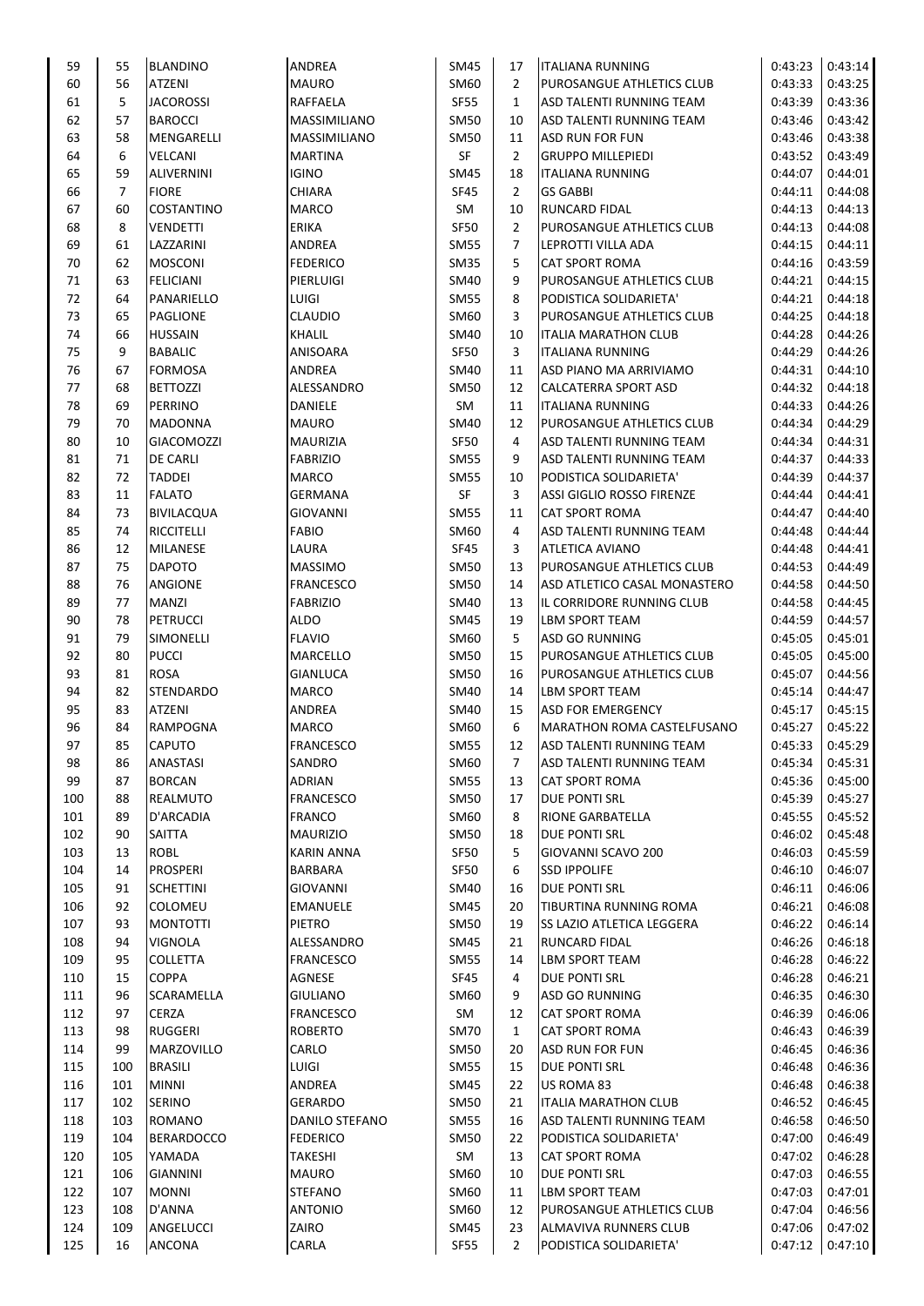| 59       | 55  | <b>BLANDINO</b>   | ANDREA            | SM45        | 17             | <b>ITALIANA RUNNING</b>      | 0:43:23 | 0:43:14 |
|----------|-----|-------------------|-------------------|-------------|----------------|------------------------------|---------|---------|
| 60       | 56  | <b>ATZENI</b>     | <b>MAURO</b>      | SM60        | $\overline{2}$ | PUROSANGUE ATHLETICS CLUB    | 0:43:33 | 0:43:25 |
| 61       | 5   | <b>JACOROSSI</b>  | RAFFAELA          | <b>SF55</b> | $\mathbf{1}$   | ASD TALENTI RUNNING TEAM     | 0:43:39 | 0:43:36 |
| 62       | 57  | <b>BAROCCI</b>    | MASSIMILIANO      | <b>SM50</b> | 10             | ASD TALENTI RUNNING TEAM     | 0:43:46 | 0:43:42 |
| 63       | 58  | MENGARELLI        | MASSIMILIANO      | SM50        | 11             | ASD RUN FOR FUN              | 0:43:46 | 0:43:38 |
| 64       | 6   | VELCANI           | <b>MARTINA</b>    | SF          | $\overline{2}$ | <b>GRUPPO MILLEPIEDI</b>     | 0:43:52 | 0:43:49 |
| 65       | 59  | <b>ALIVERNINI</b> | <b>IGINO</b>      | SM45        | 18             | <b>ITALIANA RUNNING</b>      | 0:44:07 | 0:44:01 |
| 66       | 7   | <b>FIORE</b>      | CHIARA            | <b>SF45</b> | $\overline{2}$ | <b>GS GABBI</b>              | 0:44:11 | 0:44:08 |
| 67       | 60  | COSTANTINO        | <b>MARCO</b>      | SM          | 10             | RUNCARD FIDAL                | 0:44:13 | 0:44:13 |
| 68       | 8   | <b>VENDETTI</b>   | ERIKA             | <b>SF50</b> | 2              | PUROSANGUE ATHLETICS CLUB    | 0:44:13 | 0:44:08 |
| 69       | 61  | LAZZARINI         | ANDREA            | <b>SM55</b> | 7              | LEPROTTI VILLA ADA           | 0:44:15 | 0:44:11 |
| 70       | 62  | <b>MOSCONI</b>    | <b>FEDERICO</b>   | <b>SM35</b> | 5              | <b>CAT SPORT ROMA</b>        | 0:44:16 | 0:43:59 |
| 71       | 63  | <b>FELICIANI</b>  | PIERLUIGI         | SM40        | 9              | PUROSANGUE ATHLETICS CLUB    | 0:44:21 | 0:44:15 |
| 72       | 64  | PANARIELLO        | LUIGI             | <b>SM55</b> | 8              | PODISTICA SOLIDARIETA'       | 0:44:21 | 0:44:18 |
| 73       | 65  | <b>PAGLIONE</b>   | <b>CLAUDIO</b>    | SM60        | 3              | PUROSANGUE ATHLETICS CLUB    | 0:44:25 | 0:44:18 |
| 74       | 66  | <b>HUSSAIN</b>    | KHALIL            | SM40        | 10             | <b>ITALIA MARATHON CLUB</b>  | 0:44:28 | 0:44:26 |
| 75       | 9   | <b>BABALIC</b>    | ANISOARA          | <b>SF50</b> | 3              | <b>ITALIANA RUNNING</b>      | 0:44:29 | 0:44:26 |
| 76       | 67  | <b>FORMOSA</b>    | <b>ANDREA</b>     | SM40        | 11             | ASD PIANO MA ARRIVIAMO       | 0:44:31 | 0:44:10 |
| 77       | 68  | <b>BETTOZZI</b>   | ALESSANDRO        | <b>SM50</b> | 12             | CALCATERRA SPORT ASD         | 0:44:32 | 0:44:18 |
| 78       | 69  | PERRINO           | DANIELE           | SM          | 11             | <b>ITALIANA RUNNING</b>      | 0:44:33 | 0:44:26 |
| 79       | 70  | <b>MADONNA</b>    | <b>MAURO</b>      | SM40        | 12             | PUROSANGUE ATHLETICS CLUB    | 0:44:34 | 0:44:29 |
| 80       | 10  | <b>GIACOMOZZI</b> | MAURIZIA          | <b>SF50</b> | 4              | ASD TALENTI RUNNING TEAM     | 0:44:34 | 0:44:31 |
| 81       | 71  | <b>DE CARLI</b>   | <b>FABRIZIO</b>   | <b>SM55</b> | 9              | ASD TALENTI RUNNING TEAM     | 0:44:37 | 0:44:33 |
| 82       | 72  | <b>TADDEI</b>     | <b>MARCO</b>      | <b>SM55</b> | 10             | PODISTICA SOLIDARIETA'       | 0:44:39 | 0:44:37 |
| 83       | 11  | <b>FALATO</b>     | GERMANA           | SF          | 3              | ASSI GIGLIO ROSSO FIRENZE    | 0:44:44 | 0:44:41 |
| 84       | 73  | <b>BIVILACQUA</b> | <b>GIOVANNI</b>   | <b>SM55</b> | 11             | <b>CAT SPORT ROMA</b>        | 0:44:47 | 0:44:40 |
| 85       | 74  | <b>RICCITELLI</b> | <b>FABIO</b>      | SM60        | 4              | ASD TALENTI RUNNING TEAM     | 0:44:48 | 0:44:44 |
| 86       | 12  | <b>MILANESE</b>   | LAURA             | <b>SF45</b> | 3              | ATLETICA AVIANO              | 0:44:48 | 0:44:41 |
| 87       | 75  | <b>DAPOTO</b>     | <b>MASSIMO</b>    | <b>SM50</b> | 13             | PUROSANGUE ATHLETICS CLUB    | 0:44:53 | 0:44:49 |
| 88       | 76  | ANGIONE           | <b>FRANCESCO</b>  | SM50        | 14             | ASD ATLETICO CASAL MONASTERO | 0:44:58 | 0:44:50 |
| 89       | 77  | <b>MANZI</b>      | <b>FABRIZIO</b>   | SM40        | 13             | IL CORRIDORE RUNNING CLUB    | 0:44:58 | 0:44:45 |
| 90       |     |                   |                   |             |                |                              |         | 0:44:57 |
| 91       | 78  | <b>PETRUCCI</b>   | <b>ALDO</b>       | SM45        | 19             | LBM SPORT TEAM               | 0:44:59 |         |
|          | 79  | SIMONELLI         | <b>FLAVIO</b>     | SM60        | 5              | ASD GO RUNNING               | 0:45:05 | 0:45:01 |
| 92       | 80  | <b>PUCCI</b>      | MARCELLO          | <b>SM50</b> | 15             | PUROSANGUE ATHLETICS CLUB    | 0:45:05 | 0:45:00 |
| 93<br>94 | 81  | ROSA              | GIANLUCA          | SM50        | 16             | PUROSANGUE ATHLETICS CLUB    | 0:45:07 | 0:44:56 |
|          | 82  | <b>STENDARDO</b>  | <b>MARCO</b>      | SM40        | 14             | <b>LBM SPORT TEAM</b>        | 0:45:14 | 0:44:47 |
| 95       | 83  | ATZENI            | ANDREA            | SM40        | 15             | ASD FOR EMERGENCY            | 0:45:17 | 0:45:15 |
| 96       | 84  | <b>RAMPOGNA</b>   | MARCO             | SM60        | 6              | MARATHON ROMA CASTELFUSANO   | 0:45:27 | 0:45:22 |
| 97       | 85  | CAPUTO            | <b>FRANCESCO</b>  | <b>SM55</b> | 12             | ASD TALENTI RUNNING TEAM     | 0:45:33 | 0:45:29 |
| 98       | 86  | <b>ANASTASI</b>   | SANDRO            | SM60        | 7              | ASD TALENTI RUNNING TEAM     | 0:45:34 | 0:45:31 |
| 99       | 87  | <b>BORCAN</b>     | ADRIAN            | <b>SM55</b> | 13             | <b>CAT SPORT ROMA</b>        | 0:45:36 | 0:45:00 |
| 100      | 88  | REALMUTO          | <b>FRANCESCO</b>  | <b>SM50</b> | 17             | DUE PONTI SRL                | 0:45:39 | 0:45:27 |
| 101      | 89  | D'ARCADIA         | <b>FRANCO</b>     | SM60        | 8              | RIONE GARBATELLA             | 0:45:55 | 0:45:52 |
| 102      | 90  | SAITTA            | <b>MAURIZIO</b>   | SM50        | 18             | DUE PONTI SRL                | 0:46:02 | 0:45:48 |
| 103      | 13  | ROBL              | <b>KARIN ANNA</b> | <b>SF50</b> | 5              | GIOVANNI SCAVO 200           | 0:46:03 | 0:45:59 |
| 104      | 14  | <b>PROSPERI</b>   | <b>BARBARA</b>    | <b>SF50</b> | 6              | <b>SSD IPPOLIFE</b>          | 0:46:10 | 0:46:07 |
| 105      | 91  | <b>SCHETTINI</b>  | <b>GIOVANNI</b>   | SM40        | 16             | <b>DUE PONTI SRL</b>         | 0:46:11 | 0:46:06 |
| 106      | 92  | COLOMEU           | EMANUELE          | SM45        | 20             | TIBURTINA RUNNING ROMA       | 0:46:21 | 0:46:08 |
| 107      | 93  | <b>MONTOTTI</b>   | PIETRO            | SM50        | 19             | SS LAZIO ATLETICA LEGGERA    | 0:46:22 | 0:46:14 |
| 108      | 94  | <b>VIGNOLA</b>    | ALESSANDRO        | SM45        | 21             | <b>RUNCARD FIDAL</b>         | 0:46:26 | 0:46:18 |
| 109      | 95  | <b>COLLETTA</b>   | <b>FRANCESCO</b>  | SM55        | 14             | <b>LBM SPORT TEAM</b>        | 0:46:28 | 0:46:22 |
| 110      | 15  | <b>COPPA</b>      | AGNESE            | <b>SF45</b> | 4              | DUE PONTI SRL                | 0:46:28 | 0:46:21 |
| 111      | 96  | SCARAMELLA        | GIULIANO          | SM60        | 9              | <b>ASD GO RUNNING</b>        | 0:46:35 | 0:46:30 |
| 112      | 97  | <b>CERZA</b>      | <b>FRANCESCO</b>  | SM          | 12             | CAT SPORT ROMA               | 0:46:39 | 0:46:06 |
| 113      | 98  | <b>RUGGERI</b>    | <b>ROBERTO</b>    | <b>SM70</b> | $\mathbf{1}$   | <b>CAT SPORT ROMA</b>        | 0:46:43 | 0:46:39 |
| 114      | 99  | MARZOVILLO        | CARLO             | <b>SM50</b> | 20             | ASD RUN FOR FUN              | 0:46:45 | 0:46:36 |
| 115      | 100 | <b>BRASILI</b>    | LUIGI             | <b>SM55</b> | 15             | DUE PONTI SRL                | 0:46:48 | 0:46:36 |
| 116      | 101 | <b>MINNI</b>      | ANDREA            | SM45        | 22             | US ROMA 83                   | 0:46:48 | 0:46:38 |
| 117      | 102 | SERINO            | GERARDO           | <b>SM50</b> | 21             | <b>ITALIA MARATHON CLUB</b>  | 0:46:52 | 0:46:45 |
| 118      | 103 | ROMANO            | DANILO STEFANO    | <b>SM55</b> | 16             | ASD TALENTI RUNNING TEAM     | 0:46:58 | 0:46:50 |
| 119      | 104 | <b>BERARDOCCO</b> | <b>FEDERICO</b>   | <b>SM50</b> | 22             | PODISTICA SOLIDARIETA'       | 0:47:00 | 0:46:49 |
| 120      | 105 | YAMADA            | TAKESHI           | SM          | 13             | <b>CAT SPORT ROMA</b>        | 0:47:02 | 0:46:28 |
| 121      | 106 | <b>GIANNINI</b>   | <b>MAURO</b>      | SM60        | 10             | DUE PONTI SRL                | 0:47:03 | 0:46:55 |
| 122      | 107 | <b>MONNI</b>      | <b>STEFANO</b>    | SM60        | 11             | <b>LBM SPORT TEAM</b>        | 0:47:03 | 0:47:01 |
| 123      | 108 | D'ANNA            | <b>ANTONIO</b>    | SM60        | 12             | PUROSANGUE ATHLETICS CLUB    | 0:47:04 | 0:46:56 |
| 124      | 109 | ANGELUCCI         | ZAIRO             | SM45        | 23             | ALMAVIVA RUNNERS CLUB        | 0:47:06 | 0:47:02 |
| 125      | 16  | ANCONA            | CARLA             | <b>SF55</b> | $\overline{2}$ | PODISTICA SOLIDARIETA'       | 0:47:12 | 0:47:10 |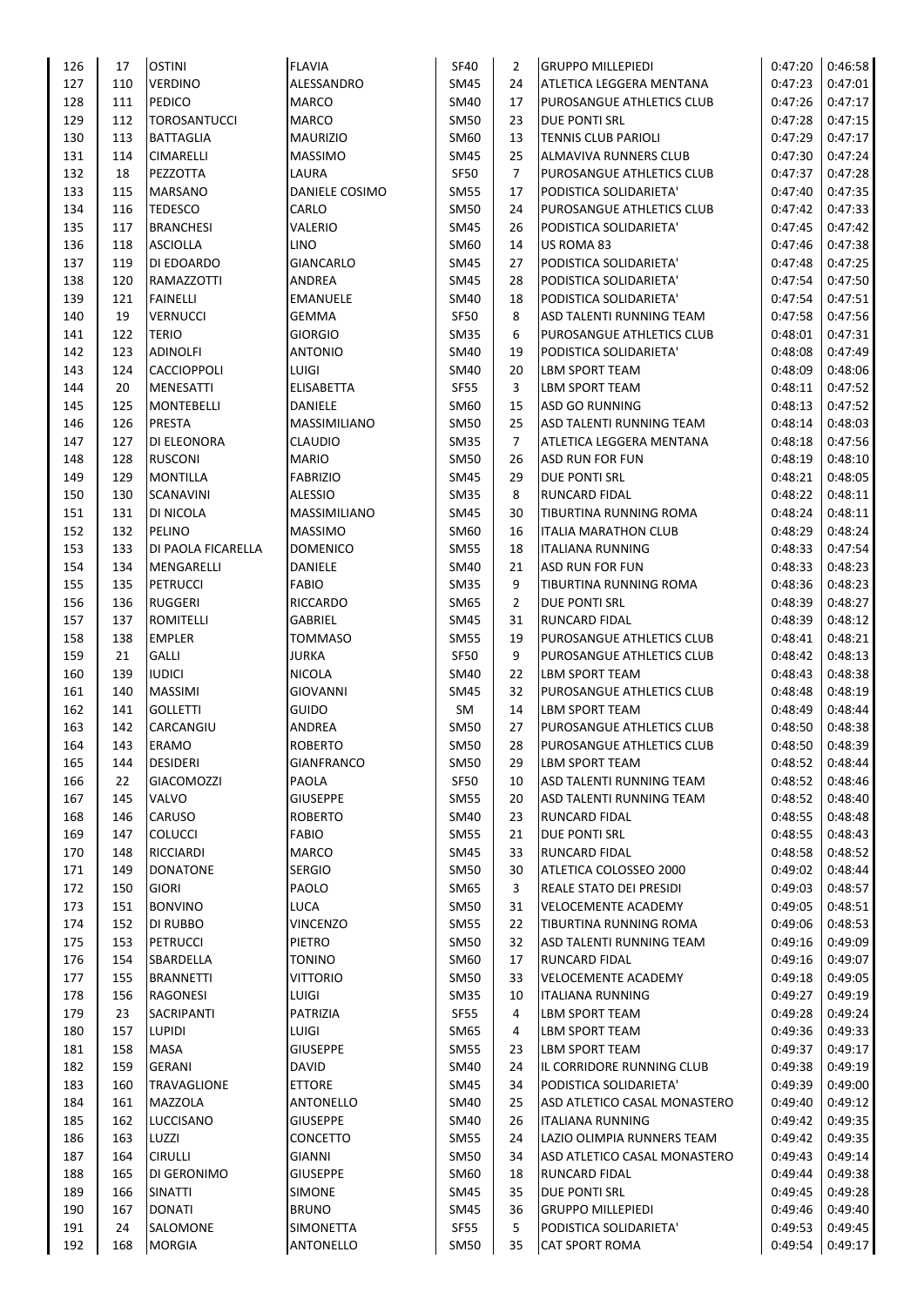| 126        | 17  | <b>OSTINI</b>       | <b>FLAVIA</b>                    | <b>SF40</b> | $\overline{2}$ | <b>GRUPPO MILLEPIEDI</b>                          | 0:47:20 | 0:46:58 |
|------------|-----|---------------------|----------------------------------|-------------|----------------|---------------------------------------------------|---------|---------|
| 127        | 110 | <b>VERDINO</b>      | ALESSANDRO                       | SM45        | 24             | ATLETICA LEGGERA MENTANA                          | 0:47:23 | 0:47:01 |
| 128        | 111 | <b>PEDICO</b>       | <b>MARCO</b>                     | SM40        | 17             | PUROSANGUE ATHLETICS CLUB                         | 0:47:26 | 0:47:17 |
| 129        | 112 | <b>TOROSANTUCCI</b> | <b>MARCO</b>                     | SM50        | 23             | DUE PONTI SRL                                     | 0:47:28 | 0:47:15 |
| 130        | 113 | <b>BATTAGLIA</b>    | <b>MAURIZIO</b>                  | SM60        | 13             | <b>TENNIS CLUB PARIOLI</b>                        | 0:47:29 | 0:47:17 |
| 131        | 114 | <b>CIMARELLI</b>    | <b>MASSIMO</b>                   | SM45        | 25             | ALMAVIVA RUNNERS CLUB                             | 0:47:30 | 0:47:24 |
| 132        | 18  | PEZZOTTA            | LAURA                            | <b>SF50</b> | 7              | PUROSANGUE ATHLETICS CLUB                         | 0:47:37 | 0:47:28 |
| 133        | 115 | MARSANO             | DANIELE COSIMO                   | <b>SM55</b> | 17             | PODISTICA SOLIDARIETA'                            | 0:47:40 | 0:47:35 |
| 134        | 116 | <b>TEDESCO</b>      | CARLO                            | <b>SM50</b> | 24             | PUROSANGUE ATHLETICS CLUB                         | 0:47:42 | 0:47:33 |
| 135        | 117 | <b>BRANCHESI</b>    | VALERIO                          | SM45        | 26             | PODISTICA SOLIDARIETA'                            | 0:47:45 | 0:47:42 |
| 136        | 118 | <b>ASCIOLLA</b>     | LINO                             | SM60        | 14             | US ROMA 83                                        | 0:47:46 | 0:47:38 |
| 137        | 119 | DI EDOARDO          | <b>GIANCARLO</b>                 | <b>SM45</b> | 27             | PODISTICA SOLIDARIETA'                            | 0:47:48 | 0:47:25 |
| 138        | 120 | RAMAZZOTTI          | <b>ANDREA</b>                    | SM45        | 28             | PODISTICA SOLIDARIETA'                            | 0:47:54 | 0:47:50 |
| 139        | 121 | <b>FAINELLI</b>     | <b>EMANUELE</b>                  | SM40        | 18             | PODISTICA SOLIDARIETA'                            | 0:47:54 | 0:47:51 |
| 140        | 19  | <b>VERNUCCI</b>     | <b>GEMMA</b>                     | <b>SF50</b> | 8              | ASD TALENTI RUNNING TEAM                          | 0:47:58 | 0:47:56 |
| 141        | 122 | <b>TERIO</b>        | <b>GIORGIO</b>                   | <b>SM35</b> | 6              | PUROSANGUE ATHLETICS CLUB                         | 0:48:01 | 0:47:31 |
| 142        | 123 | <b>ADINOLFI</b>     | <b>ANTONIO</b>                   | SM40        | 19             | PODISTICA SOLIDARIETA'                            | 0:48:08 | 0:47:49 |
| 143        | 124 | <b>CACCIOPPOLI</b>  | LUIGI                            | SM40        | 20             | LBM SPORT TEAM                                    | 0:48:09 | 0:48:06 |
| 144        | 20  | MENESATTI           | <b>ELISABETTA</b>                | <b>SF55</b> | 3              | LBM SPORT TEAM                                    | 0:48:11 | 0:47:52 |
| 145        | 125 | <b>MONTEBELLI</b>   | DANIELE                          | SM60        | 15             | <b>ASD GO RUNNING</b>                             | 0:48:13 | 0:47:52 |
| 146        | 126 | <b>PRESTA</b>       | MASSIMILIANO                     | SM50        | 25             | ASD TALENTI RUNNING TEAM                          | 0:48:14 | 0:48:03 |
| 147        | 127 | DI ELEONORA         | <b>CLAUDIO</b>                   | <b>SM35</b> | $\overline{7}$ | ATLETICA LEGGERA MENTANA                          | 0:48:18 | 0:47:56 |
| 148        | 128 | <b>RUSCONI</b>      | <b>MARIO</b>                     | <b>SM50</b> | 26             | <b>ASD RUN FOR FUN</b>                            | 0:48:19 | 0:48:10 |
| 149        | 129 | <b>MONTILLA</b>     | <b>FABRIZIO</b>                  | <b>SM45</b> | 29             | <b>DUE PONTI SRL</b>                              | 0:48:21 | 0:48:05 |
| 150        | 130 | <b>SCANAVINI</b>    | <b>ALESSIO</b>                   | <b>SM35</b> | 8              | <b>RUNCARD FIDAL</b>                              | 0:48:22 | 0:48:11 |
| 151        | 131 | DI NICOLA           | MASSIMILIANO                     | SM45        | 30             | TIBURTINA RUNNING ROMA                            | 0:48:24 | 0:48:11 |
| 152        | 132 | PELINO              | <b>MASSIMO</b>                   | SM60        | 16             | <b>ITALIA MARATHON CLUB</b>                       | 0:48:29 | 0:48:24 |
|            |     |                     |                                  |             |                |                                                   |         | 0:47:54 |
| 153        | 133 | DI PAOLA FICARELLA  | <b>DOMENICO</b>                  | <b>SM55</b> | 18             | <b>ITALIANA RUNNING</b><br><b>ASD RUN FOR FUN</b> | 0:48:33 |         |
| 154        | 134 | MENGARELLI          | DANIELE                          | SM40        | 21             |                                                   | 0:48:33 | 0:48:23 |
| 155        | 135 | <b>PETRUCCI</b>     | <b>FABIO</b>                     | SM35        | 9              | TIBURTINA RUNNING ROMA                            | 0:48:36 | 0:48:23 |
| 156        | 136 | <b>RUGGERI</b>      | <b>RICCARDO</b>                  | SM65        | $\overline{2}$ | DUE PONTI SRL                                     | 0:48:39 | 0:48:27 |
| 157        | 137 | ROMITELLI           | GABRIEL                          | SM45        | 31             | <b>RUNCARD FIDAL</b>                              | 0:48:39 | 0:48:12 |
| 158        | 138 | <b>EMPLER</b>       | <b>TOMMASO</b>                   | <b>SM55</b> | 19             | PUROSANGUE ATHLETICS CLUB                         | 0:48:41 | 0:48:21 |
| 159        | 21  | <b>GALLI</b>        | <b>JURKA</b>                     | <b>SF50</b> | 9              | PUROSANGUE ATHLETICS CLUB                         | 0:48:42 | 0:48:13 |
| 160        | 139 | <b>IUDICI</b>       | <b>NICOLA</b>                    | SM40        | 22             | LBM SPORT TEAM                                    | 0:48:43 | 0:48:38 |
| 161        | 140 | MASSIMI             | <b>GIOVANNI</b>                  | SM45        | 32             | PUROSANGUE ATHLETICS CLUB                         | 0:48:48 | 0:48:19 |
| 162        | 141 | <b>GOLLETTI</b>     | GUIDO                            | SM          | 14             | <b>LBM SPORT TEAM</b>                             | 0:48:49 | 0:48:44 |
| 163        | 142 | CARCANGIU           | ANDREA                           | <b>SM50</b> | 27             | PUROSANGUE ATHLETICS CLUB                         | 0:48:50 | 0:48:38 |
| 164        | 143 | <b>ERAMO</b>        | <b>ROBERTO</b>                   | <b>SM50</b> | 28             | PUROSANGUE ATHLETICS CLUB                         | 0:48:50 | 0:48:39 |
| 165        | 144 | <b>DESIDERI</b>     | <b>GIANFRANCO</b>                | SM50        | 29             | <b>LBM SPORT TEAM</b>                             | 0:48:52 | 0:48:44 |
| 166        | 22  | GIACOMOZZI          | PAOLA                            | <b>SF50</b> | 10             | ASD TALENTI RUNNING TEAM                          | 0:48:52 | 0:48:46 |
| 167        | 145 | VALVO               | <b>GIUSEPPE</b>                  | <b>SM55</b> | 20             | ASD TALENTI RUNNING TEAM                          | 0:48:52 | 0:48:40 |
| 168        | 146 | CARUSO              | <b>ROBERTO</b>                   | SM40        | 23             | <b>RUNCARD FIDAL</b>                              | 0:48:55 | 0:48:48 |
| 169        | 147 | <b>COLUCCI</b>      | <b>FABIO</b>                     | <b>SM55</b> | 21             | DUE PONTI SRL                                     | 0:48:55 | 0:48:43 |
| 170        | 148 | RICCIARDI           | MARCO                            | SM45        | 33             | <b>RUNCARD FIDAL</b>                              | 0:48:58 | 0:48:52 |
| 171        | 149 | <b>DONATONE</b>     | <b>SERGIO</b>                    | SM50        | 30             | ATLETICA COLOSSEO 2000                            | 0:49:02 | 0:48:44 |
| 172        | 150 | <b>GIORI</b>        | PAOLO                            | SM65        | 3              | REALE STATO DEI PRESIDI                           | 0:49:03 | 0:48:57 |
| 173        | 151 | <b>BONVINO</b>      | LUCA                             | <b>SM50</b> | 31             | <b>VELOCEMENTE ACADEMY</b>                        | 0:49:05 | 0:48:51 |
| 174        | 152 | DI RUBBO            | <b>VINCENZO</b>                  | <b>SM55</b> | 22             | TIBURTINA RUNNING ROMA                            | 0:49:06 | 0:48:53 |
| 175        | 153 | <b>PETRUCCI</b>     | PIETRO                           | <b>SM50</b> | 32             | ASD TALENTI RUNNING TEAM                          | 0:49:16 | 0:49:09 |
| 176        | 154 | SBARDELLA           | <b>TONINO</b>                    | SM60        | 17             | <b>RUNCARD FIDAL</b>                              | 0:49:16 | 0:49:07 |
| 177        | 155 | <b>BRANNETTI</b>    | <b>VITTORIO</b>                  | <b>SM50</b> | 33             | <b>VELOCEMENTE ACADEMY</b>                        | 0:49:18 | 0:49:05 |
| 178        | 156 | RAGONESI            | LUIGI                            | SM35        | 10             | <b>ITALIANA RUNNING</b>                           | 0:49:27 | 0:49:19 |
| 179        | 23  | SACRIPANTI          | PATRIZIA                         | <b>SF55</b> | 4              | LBM SPORT TEAM                                    | 0:49:28 | 0:49:24 |
| 180        | 157 | <b>LUPIDI</b>       | LUIGI                            | SM65        | 4              | LBM SPORT TEAM                                    | 0:49:36 | 0:49:33 |
| 181        | 158 | MASA                | <b>GIUSEPPE</b>                  | <b>SM55</b> | 23             | <b>LBM SPORT TEAM</b>                             | 0:49:37 | 0:49:17 |
| 182        | 159 | <b>GERANI</b>       | <b>DAVID</b>                     | SM40        | 24             | IL CORRIDORE RUNNING CLUB                         | 0:49:38 | 0:49:19 |
| 183        | 160 | <b>TRAVAGLIONE</b>  | <b>ETTORE</b>                    | SM45        | 34             | PODISTICA SOLIDARIETA'                            | 0:49:39 | 0:49:00 |
| 184        | 161 | MAZZOLA             | ANTONELLO                        | SM40        | 25             | ASD ATLETICO CASAL MONASTERO                      | 0:49:40 | 0:49:12 |
| 185        | 162 | LUCCISANO           | <b>GIUSEPPE</b>                  | SM40        | 26             | <b>ITALIANA RUNNING</b>                           | 0:49:42 | 0:49:35 |
| 186        | 163 | LUZZI               | CONCETTO                         | <b>SM55</b> | 24             | LAZIO OLIMPIA RUNNERS TEAM                        | 0:49:42 | 0:49:35 |
| 187        | 164 | <b>CIRULLI</b>      | GIANNI                           | <b>SM50</b> | 34             | ASD ATLETICO CASAL MONASTERO                      | 0:49:43 | 0:49:14 |
|            | 165 | DI GERONIMO         |                                  | SM60        | 18             | <b>RUNCARD FIDAL</b>                              | 0:49:44 | 0:49:38 |
| 188<br>189 | 166 | <b>SINATTI</b>      | <b>GIUSEPPE</b><br><b>SIMONE</b> | SM45        | 35             | DUE PONTI SRL                                     | 0:49:45 | 0:49:28 |
|            |     |                     |                                  |             |                |                                                   |         |         |
| 190        | 167 | <b>DONATI</b>       | <b>BRUNO</b>                     | SM45        | 36             | <b>GRUPPO MILLEPIEDI</b>                          | 0:49:46 | 0:49:40 |
| 191        | 24  | SALOMONE            | <b>SIMONETTA</b>                 | <b>SF55</b> | 5              | PODISTICA SOLIDARIETA'                            | 0:49:53 | 0:49:45 |
| 192        | 168 | <b>MORGIA</b>       | <b>ANTONELLO</b>                 | <b>SM50</b> | 35             | <b>CAT SPORT ROMA</b>                             | 0:49:54 | 0:49:17 |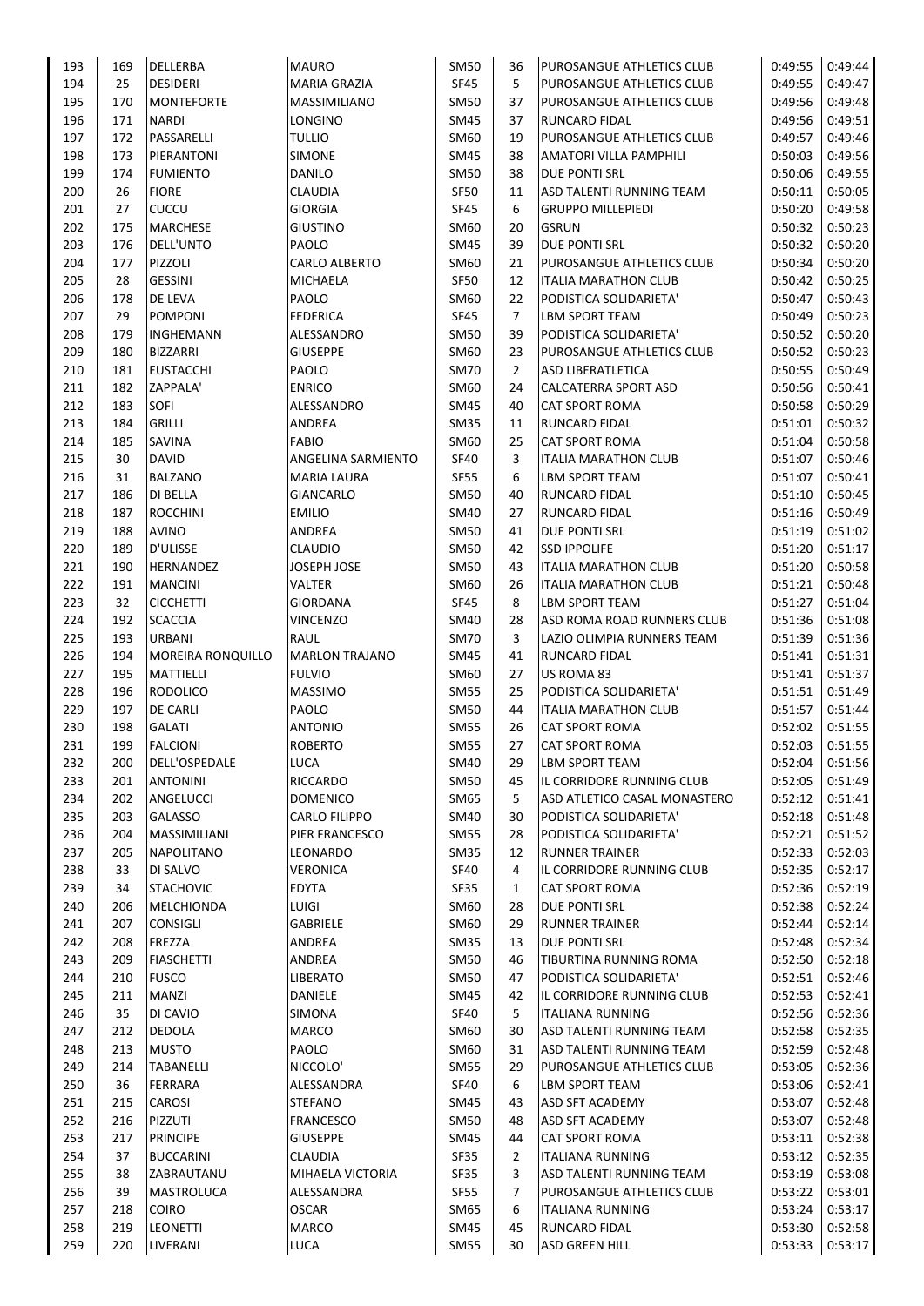| 193        | 169       | <b>DELLERBA</b>   | <b>MAURO</b>                 | SM50                | 36             | <b>PUROSANGUE ATHLETICS CLUB</b> | 0:49:55            | 0:49:44            |
|------------|-----------|-------------------|------------------------------|---------------------|----------------|----------------------------------|--------------------|--------------------|
| 194        | 25        | <b>DESIDERI</b>   | MARIA GRAZIA                 | <b>SF45</b>         | 5              | PUROSANGUE ATHLETICS CLUB        | 0:49:55            | 0:49:47            |
| 195        | 170       | <b>MONTEFORTE</b> | MASSIMILIANO                 | SM50                | 37             | PUROSANGUE ATHLETICS CLUB        | 0:49:56            | 0:49:48            |
| 196        | 171       | <b>NARDI</b>      | LONGINO                      | SM45                | 37             | RUNCARD FIDAL                    | 0:49:56            | 0:49:51            |
| 197        | 172       | PASSARELLI        | <b>TULLIO</b>                | SM60                | 19             | <b>PUROSANGUE ATHLETICS CLUB</b> | 0:49:57            | 0:49:46            |
| 198        | 173       | PIERANTONI        | <b>SIMONE</b>                | SM45                | 38             | AMATORI VILLA PAMPHILI           | 0:50:03            | 0:49:56            |
| 199        | 174       | <b>FUMIENTO</b>   | <b>DANILO</b>                | SM50                | 38             | <b>DUE PONTI SRL</b>             | 0:50:06            | 0:49:55            |
| 200        | 26        | <b>FIORE</b>      | <b>CLAUDIA</b>               | SF50                | 11             | ASD TALENTI RUNNING TEAM         | 0:50:11            | 0:50:05            |
| 201        | 27        | CUCCU             | <b>GIORGIA</b>               | <b>SF45</b>         | 6              | <b>GRUPPO MILLEPIEDI</b>         | 0:50:20            | 0:49:58            |
| 202        | 175       | <b>MARCHESE</b>   | <b>GIUSTINO</b>              | SM60                | 20             | <b>GSRUN</b>                     | 0:50:32            | 0:50:23            |
| 203        | 176       | DELL'UNTO         | PAOLO                        | SM45                | 39             | <b>DUE PONTI SRL</b>             | 0:50:32            | 0:50:20            |
| 204        | 177       | PIZZOLI           | CARLO ALBERTO                | SM60                | 21             | PUROSANGUE ATHLETICS CLUB        | 0:50:34            | 0:50:20            |
| 205        | 28        | <b>GESSINI</b>    | MICHAELA                     | <b>SF50</b>         | 12             | <b>ITALIA MARATHON CLUB</b>      | 0:50:42            | 0:50:25            |
| 206        | 178       | DE LEVA           | PAOLO                        | SM60                | 22             | PODISTICA SOLIDARIETA'           | 0:50:47            | 0:50:43            |
| 207        | 29        | <b>POMPONI</b>    | <b>FEDERICA</b>              | <b>SF45</b>         | 7              | LBM SPORT TEAM                   | 0:50:49            | 0:50:23            |
| 208        | 179       | INGHEMANN         | ALESSANDRO                   | SM50                | 39             | PODISTICA SOLIDARIETA'           | 0:50:52            | 0:50:20            |
| 209        | 180       | <b>BIZZARRI</b>   | <b>GIUSEPPE</b>              | SM60                | 23             | PUROSANGUE ATHLETICS CLUB        | 0:50:52            | 0:50:23            |
| 210        | 181       | <b>EUSTACCHI</b>  | PAOLO                        | <b>SM70</b>         | $\overline{2}$ | ASD LIBERATLETICA                | 0:50:55            | 0:50:49            |
| 211        | 182       | <b>ZAPPALA'</b>   | <b>ENRICO</b>                | SM60                | 24             | CALCATERRA SPORT ASD             | 0:50:56            | 0:50:41            |
| 212        | 183       | SOFI              | ALESSANDRO                   | SM45                | 40             | <b>CAT SPORT ROMA</b>            | 0:50:58            | 0:50:29            |
| 213        | 184       | <b>GRILLI</b>     | ANDREA                       | <b>SM35</b>         | 11             | RUNCARD FIDAL                    | 0:51:01            | 0:50:32            |
| 214        | 185       | SAVINA            | <b>FABIO</b>                 | SM60                | 25             | <b>CAT SPORT ROMA</b>            | 0:51:04            | 0:50:58            |
| 215        | 30        | DAVID             | ANGELINA SARMIENTO           | <b>SF40</b>         | 3              | <b>ITALIA MARATHON CLUB</b>      | 0:51:07            | 0:50:46            |
| 216        | 31        | <b>BALZANO</b>    | MARIA LAURA                  | SF55                | 6              | LBM SPORT TEAM                   | 0:51:07            | 0:50:41            |
| 217        | 186       | <b>DI BELLA</b>   | <b>GIANCARLO</b>             | SM50                | 40             | <b>RUNCARD FIDAL</b>             | 0:51:10            | 0:50:45            |
|            |           |                   |                              | SM40                |                |                                  |                    |                    |
| 218        | 187       | <b>ROCCHINI</b>   | <b>EMILIO</b>                |                     | 27             | <b>RUNCARD FIDAL</b>             | 0:51:16            | 0:50:49            |
| 219        | 188       | <b>AVINO</b>      | ANDREA                       | <b>SM50</b>         | 41             | <b>DUE PONTI SRL</b>             | 0:51:19            | 0:51:02            |
| 220        | 189       | D'ULISSE          | <b>CLAUDIO</b>               | <b>SM50</b>         | 42             | <b>SSD IPPOLIFE</b>              | 0:51:20            | 0:51:17            |
| 221        | 190       | HERNANDEZ         | JOSEPH JOSE                  | SM50                | 43             | ITALIA MARATHON CLUB             | 0:51:20            | 0:50:58            |
| 222        | 191       | <b>MANCINI</b>    | <b>VALTER</b>                | SM60                | 26             | <b>ITALIA MARATHON CLUB</b>      | 0:51:21            | 0:50:48            |
| 223        | 32        | <b>CICCHETTI</b>  | <b>GIORDANA</b>              | <b>SF45</b>         | 8              | LBM SPORT TEAM                   | 0:51:27            | 0:51:04            |
| 224        | 192       | <b>SCACCIA</b>    | <b>VINCENZO</b>              | SM40                | 28             | ASD ROMA ROAD RUNNERS CLUB       | 0:51:36            | 0:51:08            |
| 225        | 193       | URBANI            | RAUL                         | SM70                | 3              | LAZIO OLIMPIA RUNNERS TEAM       | 0:51:39            | 0:51:36            |
| 226        | 194       | MOREIRA RONQUILLO | <b>MARLON TRAJANO</b>        | SM45                | 41             | RUNCARD FIDAL                    | 0:51:41            | 0:51:31            |
| 227        | 195       | <b>MATTIELLI</b>  | <b>FULVIO</b>                | SM60                | 27             | US ROMA 83                       | 0:51:41            | 0:51:37            |
| 228        | 196       | <b>RODOLICO</b>   | <b>MASSIMO</b>               | <b>SM55</b>         | 25             | PODISTICA SOLIDARIETA'           | 0:51:51            | 0:51:49            |
| 229        | 197       | <b>DE CARLI</b>   | PAOLO                        | <b>SM50</b>         | 44             | <b>ITALIA MARATHON CLUB</b>      | 0:51:57            | 0:51:44            |
| 230        | 198       | <b>GALATI</b>     | <b>ANTONIO</b>               | <b>SM55</b>         | 26             | <b>CAT SPORT ROMA</b>            | 0:52:02            | 0:51:55            |
| 231        | 199       | <b>FALCIONI</b>   | <b>ROBERTO</b>               | <b>SM55</b>         | 27             | <b>CAT SPORT ROMA</b>            | 0:52:03            | 0:51:55            |
| 232        | 200       | DELL'OSPEDALE     | LUCA                         | SM40                | 29             | <b>LBM SPORT TEAM</b>            | 0:52:04            | 0:51:56            |
| 233        | 201       | <b>ANTONINI</b>   | RICCARDO                     | SM50                | 45             | IL CORRIDORE RUNNING CLUB        | 0:52:05            | 0:51:49            |
| 234        | 202       | ANGELUCCI         | <b>DOMENICO</b>              | SM65                | 5              | ASD ATLETICO CASAL MONASTERO     | 0:52:12            | 0:51:41            |
| 235        | 203       | GALASSO           | <b>CARLO FILIPPO</b>         | SM40                | 30             | PODISTICA SOLIDARIETA'           | 0:52:18            | 0:51:48            |
| 236        | 204       | MASSIMILIANI      | PIER FRANCESCO               | <b>SM55</b>         | 28             | PODISTICA SOLIDARIETA'           | 0:52:21            | 0:51:52            |
| 237        | 205       | NAPOLITANO        | LEONARDO                     | <b>SM35</b>         | 12             | <b>RUNNER TRAINER</b>            | 0:52:33            | 0:52:03            |
| 238        | 33        | DI SALVO          | <b>VERONICA</b>              | <b>SF40</b>         | 4              | IL CORRIDORE RUNNING CLUB        | 0:52:35            | 0:52:17            |
| 239        | 34        | <b>STACHOVIC</b>  | <b>EDYTA</b>                 | SF35                | 1              | <b>CAT SPORT ROMA</b>            | 0:52:36            | 0:52:19            |
| 240        | 206       | MELCHIONDA        | LUIGI                        | SM60                | 28             | DUE PONTI SRL                    | 0:52:38            | 0:52:24            |
| 241        | 207       | <b>CONSIGLI</b>   | <b>GABRIELE</b>              | SM60                | 29             | <b>RUNNER TRAINER</b>            | 0:52:44            | 0:52:14            |
| 242        | 208       | FREZZA            | ANDREA                       | <b>SM35</b>         | 13             | <b>DUE PONTI SRL</b>             | 0:52:48            | 0:52:34            |
| 243        | 209       | <b>FIASCHETTI</b> | ANDREA                       | SM50                | 46             | TIBURTINA RUNNING ROMA           | 0:52:50            | 0:52:18            |
| 244        | 210       | <b>FUSCO</b>      | LIBERATO                     | SM50                | 47             | PODISTICA SOLIDARIETA'           | 0:52:51            | 0:52:46            |
| 245        | 211       | MANZI             | DANIELE                      | SM45                | 42             | IL CORRIDORE RUNNING CLUB        | 0:52:53            | 0:52:41            |
| 246        | 35        | DI CAVIO          | <b>SIMONA</b>                | <b>SF40</b>         | 5              | <b>ITALIANA RUNNING</b>          | 0:52:56            | 0:52:36            |
| 247        | 212       | <b>DEDOLA</b>     | MARCO                        | SM60                | 30             | ASD TALENTI RUNNING TEAM         | 0:52:58            | 0:52:35            |
| 248        | 213       | <b>MUSTO</b>      | PAOLO                        | SM60                | 31             | ASD TALENTI RUNNING TEAM         | 0:52:59            | 0:52:48            |
| 249        | 214       | TABANELLI         | NICCOLO'                     | <b>SM55</b>         | 29             | PUROSANGUE ATHLETICS CLUB        | 0:53:05            | 0:52:36            |
|            |           |                   |                              |                     |                |                                  |                    |                    |
| 250<br>251 | 36<br>215 | FERRARA<br>CAROSI | ALESSANDRA<br><b>STEFANO</b> | <b>SF40</b><br>SM45 | 6<br>43        | LBM SPORT TEAM                   | 0:53:06<br>0:53:07 | 0:52:41<br>0:52:48 |
|            |           |                   |                              |                     |                | ASD SFT ACADEMY                  |                    |                    |
| 252        | 216       | PIZZUTI           | <b>FRANCESCO</b>             | SM50                | 48             | ASD SFT ACADEMY                  | 0:53:07            | 0:52:48            |
| 253        | 217       | <b>PRINCIPE</b>   | <b>GIUSEPPE</b>              | SM45                | 44             | <b>CAT SPORT ROMA</b>            | 0:53:11            | 0:52:38            |
| 254        | 37        | <b>BUCCARINI</b>  | CLAUDIA                      | SF35                | 2              | <b>ITALIANA RUNNING</b>          | 0:53:12            | 0:52:35            |
| 255        | 38        | ZABRAUTANU        | MIHAELA VICTORIA             | <b>SF35</b>         | 3              | ASD TALENTI RUNNING TEAM         | 0:53:19            | 0:53:08            |
| 256        | 39        | MASTROLUCA        | ALESSANDRA                   | <b>SF55</b>         | 7              | PUROSANGUE ATHLETICS CLUB        | 0:53:22            | 0:53:01            |
| 257        | 218       | <b>COIRO</b>      | <b>OSCAR</b>                 | SM65                | 6              | <b>ITALIANA RUNNING</b>          | 0:53:24            | 0:53:17            |
| 258        | 219       | <b>LEONETTI</b>   | <b>MARCO</b>                 | SM45                | 45             | <b>RUNCARD FIDAL</b>             | 0:53:30            | 0:52:58            |
| 259        | 220       | LIVERANI          | LUCA                         | <b>SM55</b>         | 30             | ASD GREEN HILL                   | 0:53:33            | 0:53:17            |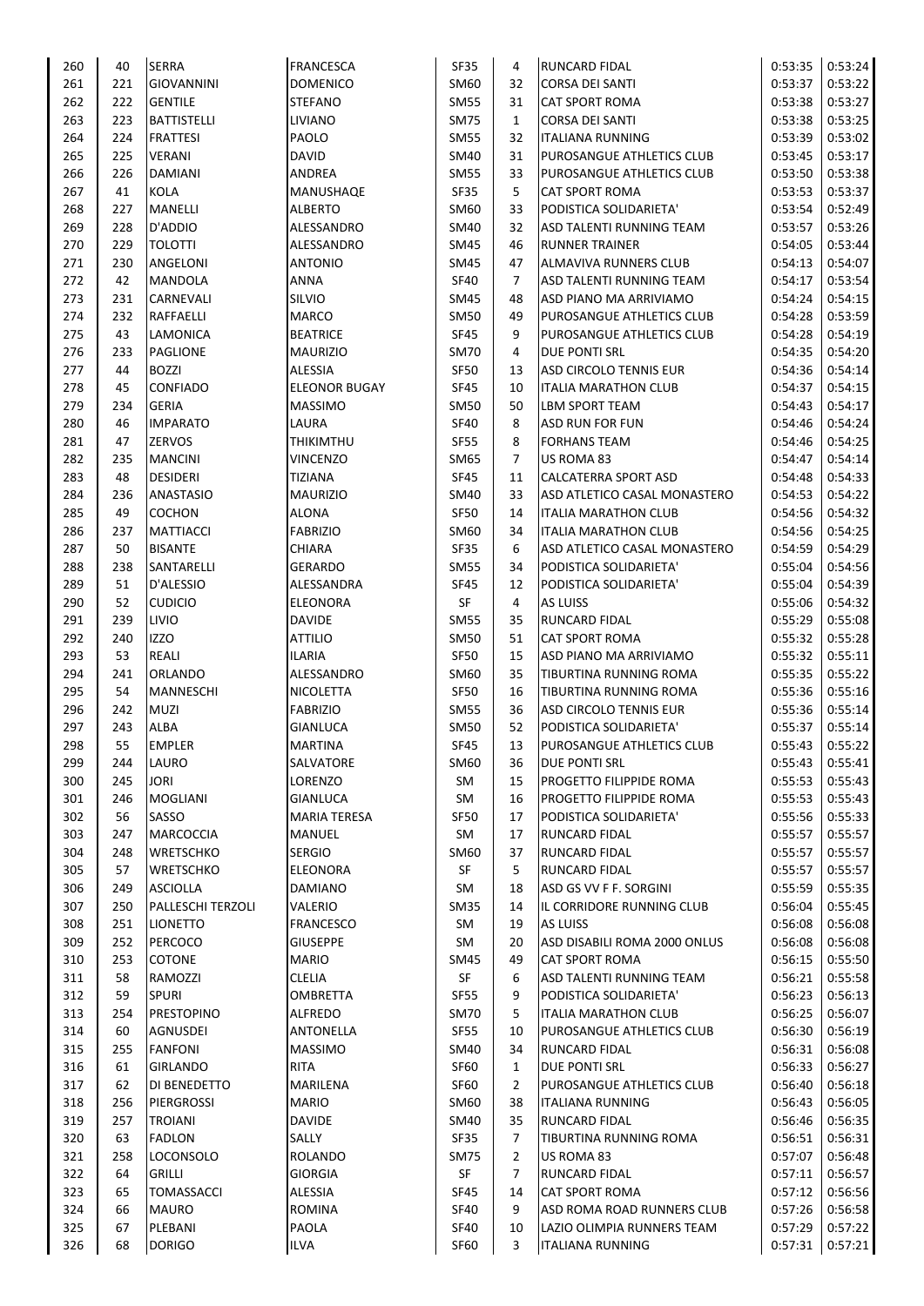| 260 | 40  | <b>SERRA</b>       | <b>FRANCESCA</b>     | <b>SF35</b> | 4              | <b>RUNCARD FIDAL</b>          | 0:53:35 | 0:53:24 |
|-----|-----|--------------------|----------------------|-------------|----------------|-------------------------------|---------|---------|
| 261 | 221 | <b>GIOVANNINI</b>  | <b>DOMENICO</b>      | SM60        | 32             | <b>CORSA DEI SANTI</b>        | 0:53:37 | 0:53:22 |
| 262 | 222 | <b>GENTILE</b>     | <b>STEFANO</b>       | SM55        | 31             | <b>CAT SPORT ROMA</b>         | 0:53:38 | 0:53:27 |
| 263 | 223 | <b>BATTISTELLI</b> | LIVIANO              | <b>SM75</b> | $\mathbf{1}$   | <b>CORSA DEI SANTI</b>        | 0:53:38 | 0:53:25 |
| 264 | 224 | <b>FRATTESI</b>    | PAOLO                | SM55        | 32             | <b>ITALIANA RUNNING</b>       | 0:53:39 | 0:53:02 |
| 265 | 225 | <b>VERANI</b>      | <b>DAVID</b>         | SM40        | 31             | PUROSANGUE ATHLETICS CLUB     | 0:53:45 | 0:53:17 |
| 266 | 226 | <b>DAMIANI</b>     | ANDREA               | SM55        | 33             | PUROSANGUE ATHLETICS CLUB     | 0:53:50 | 0:53:38 |
| 267 | 41  | KOLA               | MANUSHAQE            | SF35        | 5              | <b>CAT SPORT ROMA</b>         | 0:53:53 | 0:53:37 |
| 268 | 227 | MANELLI            | <b>ALBERTO</b>       | SM60        | 33             | PODISTICA SOLIDARIETA'        | 0:53:54 | 0:52:49 |
| 269 | 228 | D'ADDIO            | ALESSANDRO           | SM40        | 32             | ASD TALENTI RUNNING TEAM      | 0:53:57 | 0:53:26 |
| 270 | 229 | <b>TOLOTTI</b>     | ALESSANDRO           | SM45        | 46             | <b>RUNNER TRAINER</b>         | 0:54:05 | 0:53:44 |
| 271 | 230 | ANGELONI           | <b>ANTONIO</b>       | SM45        | 47             | ALMAVIVA RUNNERS CLUB         | 0:54:13 | 0:54:07 |
| 272 | 42  | MANDOLA            | ANNA                 | <b>SF40</b> | 7              | ASD TALENTI RUNNING TEAM      | 0:54:17 | 0:53:54 |
| 273 | 231 | <b>CARNEVALI</b>   | SILVIO               | SM45        | 48             | ASD PIANO MA ARRIVIAMO        | 0:54:24 | 0:54:15 |
| 274 | 232 | RAFFAELLI          | <b>MARCO</b>         | SM50        | 49             | PUROSANGUE ATHLETICS CLUB     | 0:54:28 | 0:53:59 |
| 275 | 43  | LAMONICA           | <b>BEATRICE</b>      | <b>SF45</b> | 9              | PUROSANGUE ATHLETICS CLUB     | 0:54:28 | 0:54:19 |
| 276 | 233 | PAGLIONE           |                      |             |                |                               |         |         |
|     |     |                    | <b>MAURIZIO</b>      | <b>SM70</b> | 4              | DUE PONTI SRL                 | 0:54:35 | 0:54:20 |
| 277 | 44  | <b>BOZZI</b>       | ALESSIA              | <b>SF50</b> | 13             | <b>ASD CIRCOLO TENNIS EUR</b> | 0:54:36 | 0:54:14 |
| 278 | 45  | <b>CONFIADO</b>    | <b>ELEONOR BUGAY</b> | <b>SF45</b> | 10             | <b>ITALIA MARATHON CLUB</b>   | 0:54:37 | 0:54:15 |
| 279 | 234 | <b>GERIA</b>       | <b>MASSIMO</b>       | SM50        | 50             | <b>LBM SPORT TEAM</b>         | 0:54:43 | 0:54:17 |
| 280 | 46  | <b>IMPARATO</b>    | LAURA                | <b>SF40</b> | 8              | ASD RUN FOR FUN               | 0:54:46 | 0:54:24 |
| 281 | 47  | <b>ZERVOS</b>      | <b>THIKIMTHU</b>     | <b>SF55</b> | 8              | <b>FORHANS TEAM</b>           | 0:54:46 | 0:54:25 |
| 282 | 235 | <b>MANCINI</b>     | <b>VINCENZO</b>      | SM65        | 7              | US ROMA 83                    | 0:54:47 | 0:54:14 |
| 283 | 48  | <b>DESIDERI</b>    | <b>TIZIANA</b>       | <b>SF45</b> | 11             | CALCATERRA SPORT ASD          | 0:54:48 | 0:54:33 |
| 284 | 236 | <b>ANASTASIO</b>   | <b>MAURIZIO</b>      | SM40        | 33             | ASD ATLETICO CASAL MONASTERO  | 0:54:53 | 0:54:22 |
| 285 | 49  | COCHON             | <b>ALONA</b>         | <b>SF50</b> | 14             | <b>ITALIA MARATHON CLUB</b>   | 0:54:56 | 0:54:32 |
| 286 | 237 | <b>MATTIACCI</b>   | <b>FABRIZIO</b>      | SM60        | 34             | <b>ITALIA MARATHON CLUB</b>   | 0:54:56 | 0:54:25 |
| 287 | 50  | <b>BISANTE</b>     | <b>CHIARA</b>        | <b>SF35</b> | 6              | ASD ATLETICO CASAL MONASTERO  | 0:54:59 | 0:54:29 |
| 288 | 238 | SANTARELLI         | <b>GERARDO</b>       | <b>SM55</b> | 34             | PODISTICA SOLIDARIETA'        | 0:55:04 | 0:54:56 |
| 289 | 51  | D'ALESSIO          | ALESSANDRA           | <b>SF45</b> | 12             | PODISTICA SOLIDARIETA'        | 0:55:04 | 0:54:39 |
| 290 | 52  | <b>CUDICIO</b>     | ELEONORA             | SF          | 4              | <b>AS LUISS</b>               | 0:55:06 | 0:54:32 |
| 291 | 239 | LIVIO              | <b>DAVIDE</b>        | SM55        | 35             | <b>RUNCARD FIDAL</b>          | 0:55:29 | 0:55:08 |
| 292 | 240 | <b>IZZO</b>        | <b>ATTILIO</b>       | SM50        | 51             | <b>CAT SPORT ROMA</b>         | 0:55:32 | 0:55:28 |
| 293 | 53  | <b>REALI</b>       | <b>ILARIA</b>        | <b>SF50</b> | 15             | ASD PIANO MA ARRIVIAMO        | 0:55:32 | 0:55:11 |
| 294 | 241 | <b>ORLANDO</b>     | ALESSANDRO           | SM60        | 35             | TIBURTINA RUNNING ROMA        | 0:55:35 | 0:55:22 |
| 295 | 54  | <b>MANNESCHI</b>   | NICOLETTA            | <b>SF50</b> | 16             | TIBURTINA RUNNING ROMA        | 0:55:36 | 0:55:16 |
| 296 | 242 | <b>MUZI</b>        | <b>FABRIZIO</b>      | <b>SM55</b> | 36             | ASD CIRCOLO TENNIS EUR        | 0:55:36 | 0:55:14 |
| 297 | 243 | <b>ALBA</b>        | GIANLUCA             | SM50        | 52             | PODISTICA SOLIDARIETA'        | 0:55:37 | 0:55:14 |
| 298 | 55  | <b>EMPLER</b>      | <b>MARTINA</b>       | <b>SF45</b> | 13             | PUROSANGUE ATHLETICS CLUB     | 0:55:43 | 0:55:22 |
| 299 | 244 | LAURO              | SALVATORE            | SM60        |                | DUE PONTI SRL                 | 0:55:43 | 0:55:41 |
|     |     |                    |                      |             | 36             |                               |         |         |
| 300 | 245 | <b>JORI</b>        | LORENZO              | SM          | 15             | PROGETTO FILIPPIDE ROMA       | 0:55:53 | 0:55:43 |
| 301 | 246 | <b>MOGLIANI</b>    | <b>GIANLUCA</b>      | SM          | 16             | PROGETTO FILIPPIDE ROMA       | 0:55:53 | 0:55:43 |
| 302 | 56  | SASSO              | <b>MARIA TERESA</b>  | <b>SF50</b> | 17             | PODISTICA SOLIDARIETA'        | 0:55:56 | 0:55:33 |
| 303 | 247 | <b>MARCOCCIA</b>   | <b>MANUEL</b>        | SM          | 17             | RUNCARD FIDAL                 | 0:55:57 | 0:55:57 |
| 304 | 248 | WRETSCHKO          | <b>SERGIO</b>        | SM60        | 37             | <b>RUNCARD FIDAL</b>          | 0:55:57 | 0:55:57 |
| 305 | 57  | WRETSCHKO          | ELEONORA             | SF          | 5              | <b>RUNCARD FIDAL</b>          | 0:55:57 | 0:55:57 |
| 306 | 249 | <b>ASCIOLLA</b>    | <b>DAMIANO</b>       | SM          | 18             | ASD GS VV F F. SORGINI        | 0:55:59 | 0:55:35 |
| 307 | 250 | PALLESCHI TERZOLI  | VALERIO              | <b>SM35</b> | 14             | IL CORRIDORE RUNNING CLUB     | 0:56:04 | 0:55:45 |
| 308 | 251 | <b>LIONETTO</b>    | FRANCESCO            | SM          | 19             | AS LUISS                      | 0:56:08 | 0:56:08 |
| 309 | 252 | PERCOCO            | <b>GIUSEPPE</b>      | SM          | 20             | ASD DISABILI ROMA 2000 ONLUS  | 0:56:08 | 0:56:08 |
| 310 | 253 | COTONE             | <b>MARIO</b>         | SM45        | 49             | <b>CAT SPORT ROMA</b>         | 0:56:15 | 0:55:50 |
| 311 | 58  | RAMOZZI            | <b>CLELIA</b>        | SF          | 6              | ASD TALENTI RUNNING TEAM      | 0:56:21 | 0:55:58 |
| 312 | 59  | <b>SPURI</b>       | <b>OMBRETTA</b>      | <b>SF55</b> | 9              | PODISTICA SOLIDARIETA'        | 0:56:23 | 0:56:13 |
| 313 | 254 | <b>PRESTOPINO</b>  | <b>ALFREDO</b>       | SM70        | 5              | <b>ITALIA MARATHON CLUB</b>   | 0:56:25 | 0:56:07 |
| 314 | 60  | AGNUSDEI           | ANTONELLA            | <b>SF55</b> | 10             | PUROSANGUE ATHLETICS CLUB     | 0:56:30 | 0:56:19 |
| 315 | 255 | <b>FANFONI</b>     | <b>MASSIMO</b>       | SM40        | 34             | RUNCARD FIDAL                 | 0:56:31 | 0:56:08 |
| 316 | 61  | GIRLANDO           | RITA                 | <b>SF60</b> | $\mathbf{1}$   | DUE PONTI SRL                 | 0:56:33 | 0:56:27 |
| 317 | 62  | DI BENEDETTO       | MARILENA             | SF60        | $\overline{2}$ | PUROSANGUE ATHLETICS CLUB     | 0:56:40 | 0:56:18 |
| 318 | 256 | PIERGROSSI         | <b>MARIO</b>         | SM60        | 38             | <b>ITALIANA RUNNING</b>       | 0:56:43 | 0:56:05 |
| 319 | 257 | <b>TROIANI</b>     | <b>DAVIDE</b>        | SM40        | 35             | RUNCARD FIDAL                 | 0:56:46 | 0:56:35 |
| 320 | 63  | <b>FADLON</b>      | SALLY                | SF35        | 7              | TIBURTINA RUNNING ROMA        | 0:56:51 | 0:56:31 |
| 321 | 258 | LOCONSOLO          | <b>ROLANDO</b>       | <b>SM75</b> | $\overline{2}$ | US ROMA 83                    | 0:57:07 | 0:56:48 |
| 322 | 64  | <b>GRILLI</b>      | <b>GIORGIA</b>       | SF          | 7              | <b>RUNCARD FIDAL</b>          | 0:57:11 | 0:56:57 |
| 323 | 65  | <b>TOMASSACCI</b>  | ALESSIA              | <b>SF45</b> | 14             | <b>CAT SPORT ROMA</b>         | 0:57:12 | 0:56:56 |
| 324 | 66  | <b>MAURO</b>       | <b>ROMINA</b>        | <b>SF40</b> | 9              | ASD ROMA ROAD RUNNERS CLUB    | 0:57:26 | 0:56:58 |
| 325 | 67  | PLEBANI            | PAOLA                | <b>SF40</b> | 10             | LAZIO OLIMPIA RUNNERS TEAM    | 0:57:29 | 0:57:22 |
| 326 | 68  | <b>DORIGO</b>      | ILVA                 | <b>SF60</b> | 3              | <b>ITALIANA RUNNING</b>       | 0:57:31 | 0:57:21 |
|     |     |                    |                      |             |                |                               |         |         |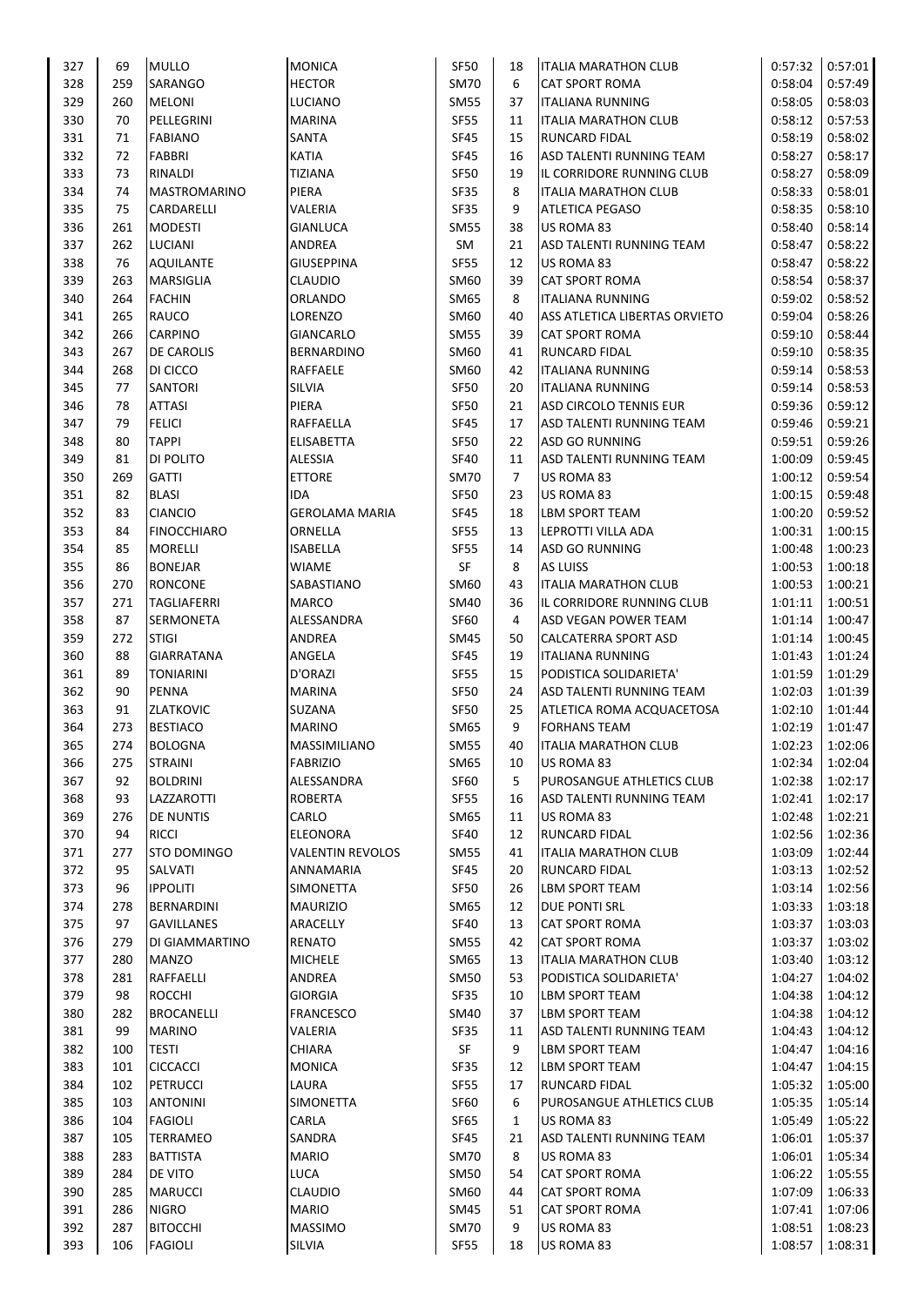| 327 | 69  | <b>MULLO</b>               | <b>MONICA</b>           | <b>SF50</b> | 18             | <b>ITALIA MARATHON CLUB</b>   | 0:57:32 | 0:57:01 |
|-----|-----|----------------------------|-------------------------|-------------|----------------|-------------------------------|---------|---------|
| 328 | 259 | SARANGO                    | <b>HECTOR</b>           | <b>SM70</b> | 6              | <b>CAT SPORT ROMA</b>         | 0:58:04 | 0:57:49 |
| 329 | 260 | <b>MELONI</b>              | LUCIANO                 | <b>SM55</b> | 37             | <b>ITALIANA RUNNING</b>       | 0:58:05 | 0:58:03 |
| 330 | 70  | PELLEGRINI                 | <b>MARINA</b>           | <b>SF55</b> | 11             | <b>ITALIA MARATHON CLUB</b>   | 0:58:12 | 0:57:53 |
| 331 | 71  | <b>FABIANO</b>             | SANTA                   | <b>SF45</b> | 15             | <b>RUNCARD FIDAL</b>          | 0:58:19 | 0:58:02 |
| 332 | 72  | <b>FABBRI</b>              | KATIA                   | <b>SF45</b> | 16             | ASD TALENTI RUNNING TEAM      | 0:58:27 | 0:58:17 |
| 333 | 73  | RINALDI                    | TIZIANA                 | <b>SF50</b> | 19             | IL CORRIDORE RUNNING CLUB     | 0:58:27 | 0:58:09 |
| 334 | 74  | MASTROMARINO               | PIERA                   | <b>SF35</b> | 8              | <b>ITALIA MARATHON CLUB</b>   | 0:58:33 | 0:58:01 |
| 335 | 75  | CARDARELLI                 | VALERIA                 | SF35        | 9              | <b>ATLETICA PEGASO</b>        | 0:58:35 | 0:58:10 |
| 336 | 261 | <b>MODESTI</b>             | GIANLUCA                | <b>SM55</b> | 38             | US ROMA 83                    | 0:58:40 | 0:58:14 |
| 337 | 262 | <b>LUCIANI</b>             | ANDREA                  | SM          | 21             | ASD TALENTI RUNNING TEAM      | 0:58:47 | 0:58:22 |
| 338 | 76  | <b>AQUILANTE</b>           | <b>GIUSEPPINA</b>       | <b>SF55</b> | 12             | US ROMA 83                    | 0:58:47 | 0:58:22 |
| 339 | 263 | MARSIGLIA                  | CLAUDIO                 | SM60        | 39             | <b>CAT SPORT ROMA</b>         | 0:58:54 | 0:58:37 |
| 340 | 264 | <b>FACHIN</b>              | ORLANDO                 | SM65        | 8              | ITALIANA RUNNING              | 0:59:02 | 0:58:52 |
| 341 | 265 | RAUCO                      | LORENZO                 | SM60        | 40             | ASS ATLETICA LIBERTAS ORVIETO | 0:59:04 | 0:58:26 |
| 342 | 266 | <b>CARPINO</b>             | GIANCARLO               | <b>SM55</b> | 39             | <b>CAT SPORT ROMA</b>         | 0:59:10 | 0:58:44 |
| 343 | 267 | <b>DE CAROLIS</b>          | BERNARDINO              | SM60        | 41             | <b>RUNCARD FIDAL</b>          | 0:59:10 | 0:58:35 |
| 344 | 268 | DI CICCO                   | RAFFAELE                | SM60        | 42             | <b>ITALIANA RUNNING</b>       | 0:59:14 | 0:58:53 |
| 345 | 77  | <b>SANTORI</b>             | SILVIA                  | <b>SF50</b> | 20             | <b>ITALIANA RUNNING</b>       | 0:59:14 | 0:58:53 |
| 346 | 78  | <b>ATTASI</b>              | PIERA                   | <b>SF50</b> | 21             | ASD CIRCOLO TENNIS EUR        | 0:59:36 | 0:59:12 |
| 347 | 79  | <b>FELICI</b>              | RAFFAELLA               | <b>SF45</b> | 17             | ASD TALENTI RUNNING TEAM      | 0:59:46 | 0:59:21 |
| 348 | 80  | <b>TAPPI</b>               | ELISABETTA              | <b>SF50</b> | 22             | ASD GO RUNNING                | 0:59:51 | 0:59:26 |
| 349 | 81  | DI POLITO                  | <b>ALESSIA</b>          | <b>SF40</b> | 11             | ASD TALENTI RUNNING TEAM      | 1:00:09 | 0:59:45 |
| 350 | 269 | <b>GATTI</b>               | <b>ETTORE</b>           | <b>SM70</b> | $\overline{7}$ | US ROMA 83                    | 1:00:12 | 0:59:54 |
| 351 | 82  | <b>BLASI</b>               | IDA                     | <b>SF50</b> | 23             | US ROMA 83                    | 1:00:15 | 0:59:48 |
| 352 | 83  | <b>CIANCIO</b>             | <b>GEROLAMA MARIA</b>   | SF45        | 18             | <b>LBM SPORT TEAM</b>         | 1:00:20 | 0:59:52 |
| 353 | 84  | <b>FINOCCHIARO</b>         | ORNELLA                 | <b>SF55</b> | 13             | LEPROTTI VILLA ADA            | 1:00:31 | 1:00:15 |
| 354 | 85  | <b>MORELLI</b>             | <b>ISABELLA</b>         | <b>SF55</b> | 14             | <b>ASD GO RUNNING</b>         | 1:00:48 | 1:00:23 |
| 355 | 86  | <b>BONEJAR</b>             | WIAME                   | SF          | 8              | AS LUISS                      | 1:00:53 | 1:00:18 |
| 356 | 270 | <b>RONCONE</b>             | SABASTIANO              | SM60        | 43             | <b>ITALIA MARATHON CLUB</b>   | 1:00:53 | 1:00:21 |
| 357 | 271 | <b>TAGLIAFERRI</b>         | <b>MARCO</b>            | <b>SM40</b> | 36             | IL CORRIDORE RUNNING CLUB     | 1:01:11 | 1:00:51 |
| 358 | 87  | SERMONETA                  | ALESSANDRA              | <b>SF60</b> | 4              | ASD VEGAN POWER TEAM          | 1:01:14 | 1:00:47 |
| 359 | 272 | <b>STIGI</b>               | ANDREA                  | SM45        | 50             | CALCATERRA SPORT ASD          | 1:01:14 | 1:00:45 |
| 360 | 88  | <b>GIARRATANA</b>          | ANGELA                  | <b>SF45</b> | 19             | <b>ITALIANA RUNNING</b>       | 1:01:43 | 1:01:24 |
| 361 | 89  | <b>TONIARINI</b>           | D'ORAZI                 | <b>SF55</b> | 15             | PODISTICA SOLIDARIETA'        | 1:01:59 | 1:01:29 |
| 362 | 90  | <b>PENNA</b>               | MARINA                  | <b>SF50</b> | 24             | ASD TALENTI RUNNING TEAM      | 1:02:03 | 1:01:39 |
| 363 | 91  | <b>ZLATKOVIC</b>           | SUZANA                  | <b>SF50</b> | 25             | ATLETICA ROMA ACQUACETOSA     | 1:02:10 | 1:01:44 |
| 364 | 273 | <b>BESTIACO</b>            | <b>MARINO</b>           | SM65        | 9              | <b>FORHANS TEAM</b>           | 1:02:19 | 1:01:47 |
| 365 | 274 | <b>BOLOGNA</b>             | MASSIMILIANO            | <b>SM55</b> | 40             | <b>ITALIA MARATHON CLUB</b>   | 1:02:23 | 1:02:06 |
| 366 | 275 | <b>STRAINI</b>             | <b>FABRIZIO</b>         | SM65        | 10             | US ROMA 83                    | 1:02:34 | 1:02:04 |
| 367 | 92  | <b>BOLDRINI</b>            | ALESSANDRA              | SF60        | 5              | PUROSANGUE ATHLETICS CLUB     | 1:02:38 | 1:02:17 |
| 368 | 93  | LAZZAROTTI                 | <b>ROBERTA</b>          | <b>SF55</b> | 16             | ASD TALENTI RUNNING TEAM      | 1:02:41 | 1:02:17 |
| 369 | 276 | <b>DE NUNTIS</b>           | CARLO                   | SM65        | 11             | US ROMA 83                    | 1:02:48 | 1:02:21 |
| 370 | 94  | <b>RICCI</b>               | <b>ELEONORA</b>         | <b>SF40</b> | 12             | <b>RUNCARD FIDAL</b>          | 1:02:56 | 1:02:36 |
| 371 | 277 | STO DOMINGO                | <b>VALENTIN REVOLOS</b> | <b>SM55</b> | 41             | <b>ITALIA MARATHON CLUB</b>   | 1:03:09 | 1:02:44 |
| 372 | 95  | SALVATI                    | ANNAMARIA               | <b>SF45</b> | 20             | <b>RUNCARD FIDAL</b>          | 1:03:13 | 1:02:52 |
| 373 | 96  | <b>IPPOLITI</b>            | SIMONETTA               | <b>SF50</b> | 26             | <b>LBM SPORT TEAM</b>         | 1:03:14 | 1:02:56 |
| 374 | 278 | <b>BERNARDINI</b>          | <b>MAURIZIO</b>         | SM65        | 12             | DUE PONTI SRL                 | 1:03:33 | 1:03:18 |
| 375 | 97  | <b>GAVILLANES</b>          | ARACELLY                | <b>SF40</b> | 13             | <b>CAT SPORT ROMA</b>         | 1:03:37 | 1:03:03 |
| 376 | 279 | DI GIAMMARTINO             | <b>RENATO</b>           | <b>SM55</b> | 42             | CAT SPORT ROMA                | 1:03:37 | 1:03:02 |
| 377 | 280 | <b>MANZO</b>               | <b>MICHELE</b>          | SM65        | 13             | <b>ITALIA MARATHON CLUB</b>   | 1:03:40 | 1:03:12 |
| 378 | 281 | <b>RAFFAELLI</b>           | ANDREA                  | <b>SM50</b> | 53             | PODISTICA SOLIDARIETA'        | 1:04:27 | 1:04:02 |
| 379 | 98  | <b>ROCCHI</b>              | <b>GIORGIA</b>          | SF35        | 10             | <b>LBM SPORT TEAM</b>         | 1:04:38 | 1:04:12 |
| 380 | 282 | <b>BROCANELLI</b>          | <b>FRANCESCO</b>        | <b>SM40</b> | 37             | <b>LBM SPORT TEAM</b>         | 1:04:38 | 1:04:12 |
| 381 | 99  | <b>MARINO</b>              | VALERIA                 | SF35        | 11             | ASD TALENTI RUNNING TEAM      | 1:04:43 | 1:04:12 |
| 382 | 100 | <b>TESTI</b>               | CHIARA                  | SF          | 9              | LBM SPORT TEAM                | 1:04:47 | 1:04:16 |
| 383 | 101 | <b>CICCACCI</b>            | <b>MONICA</b>           | <b>SF35</b> | 12             | <b>LBM SPORT TEAM</b>         | 1:04:47 | 1:04:15 |
| 384 | 102 | <b>PETRUCCI</b>            | LAURA                   | <b>SF55</b> | 17             | RUNCARD FIDAL                 | 1:05:32 | 1:05:00 |
| 385 | 103 | <b>ANTONINI</b>            | SIMONETTA               | <b>SF60</b> | 6              | PUROSANGUE ATHLETICS CLUB     | 1:05:35 | 1:05:14 |
| 386 | 104 | <b>FAGIOLI</b>             | CARLA                   | SF65        | $\mathbf{1}$   | US ROMA 83                    | 1:05:49 | 1:05:22 |
| 387 | 105 | <b>TERRAMEO</b>            | SANDRA                  | SF45        | 21             | ASD TALENTI RUNNING TEAM      | 1:06:01 | 1:05:37 |
| 388 | 283 |                            | <b>MARIO</b>            | <b>SM70</b> | 8              |                               | 1:06:01 |         |
| 389 | 284 | <b>BATTISTA</b><br>DE VITO | LUCA                    | <b>SM50</b> | 54             | US ROMA 83<br>CAT SPORT ROMA  | 1:06:22 | 1:05:34 |
|     |     |                            |                         |             |                |                               |         | 1:05:55 |
| 390 | 285 | <b>MARUCCI</b>             | <b>CLAUDIO</b>          | SM60        | 44             | CAT SPORT ROMA                | 1:07:09 | 1:06:33 |
| 391 | 286 | <b>NIGRO</b>               | <b>MARIO</b>            | SM45        | 51             | CAT SPORT ROMA                | 1:07:41 | 1:07:06 |
| 392 | 287 | <b>BITOCCHI</b>            | <b>MASSIMO</b>          | <b>SM70</b> | 9              | US ROMA 83                    | 1:08:51 | 1:08:23 |
| 393 | 106 | <b>FAGIOLI</b>             | SILVIA                  | SF55        | 18             | US ROMA 83                    | 1:08:57 | 1:08:31 |